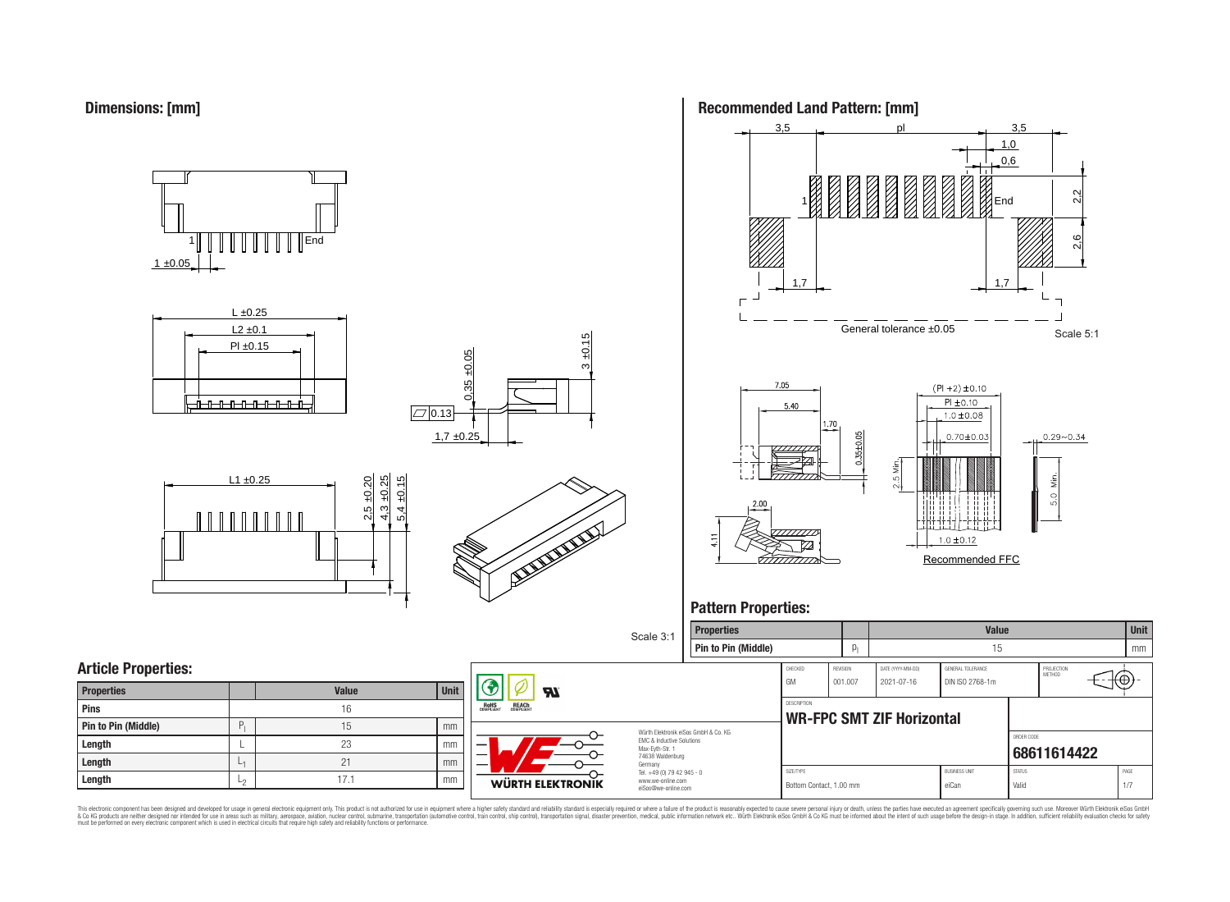

 $1 \pm 0.05$ 1 End













## **Pattern Properties:**



This electronic component has been designed and developed for usage in general electronic equipment only. This product is not authorized for use in equipment where a higher safely standard and reliability standard si espec & Ook product a label and the membed of the seasuch as marked and as which such a membed and the such assume that income in the seasuch and the simulation and the such assume that include to the such a membed and the such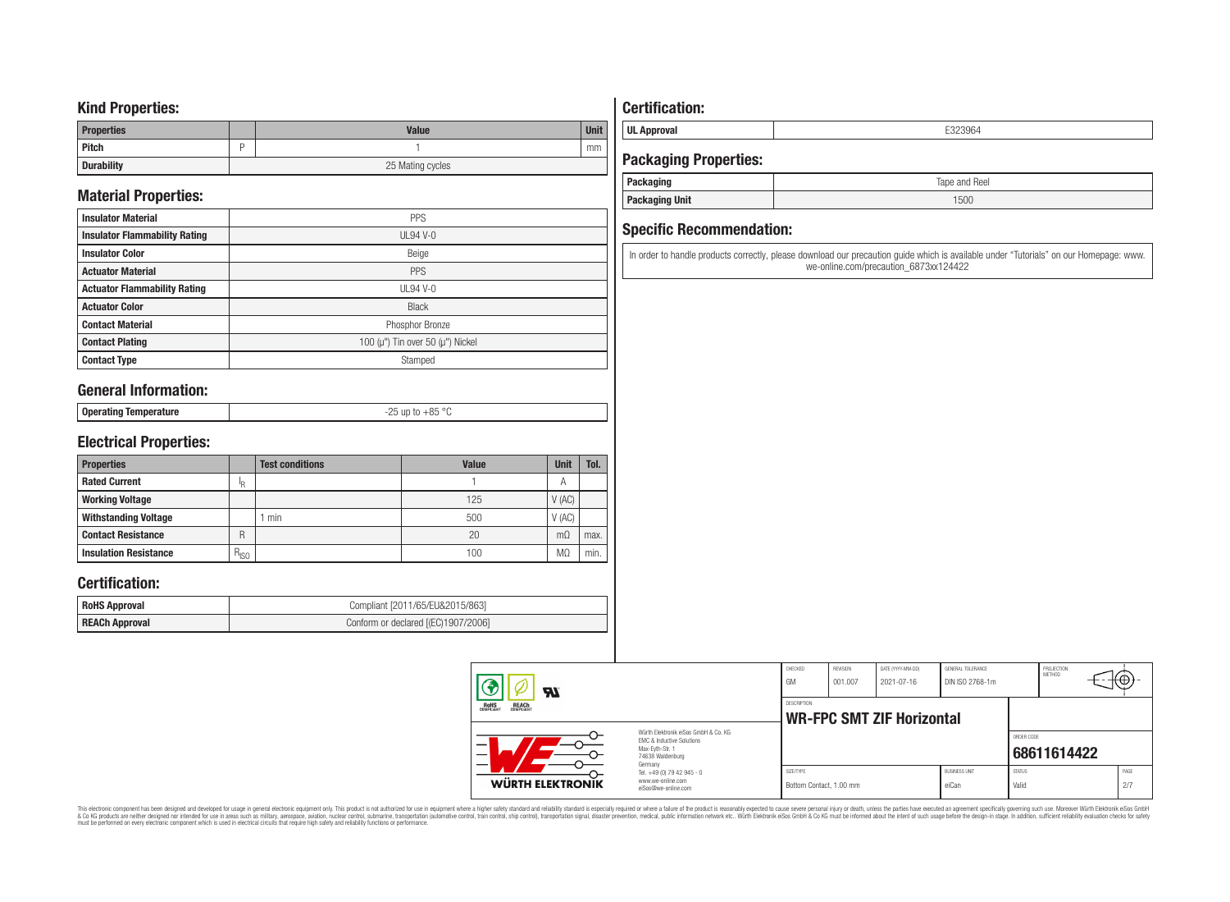### **Kind Properties:**

| <b>Properties</b> |   | <b>Value</b>     | <b>Unit</b> |  |  |
|-------------------|---|------------------|-------------|--|--|
| Pitch             | - |                  | mm          |  |  |
| <b>Durability</b> |   | 25 Mating cycles |             |  |  |

## **Material Properties:**

| <b>Insulator Material</b>            | <b>PPS</b>                                   |
|--------------------------------------|----------------------------------------------|
| <b>Insulator Flammability Rating</b> | $UL94V-0$                                    |
| <b>Insulator Color</b>               | Beige                                        |
| <b>Actuator Material</b>             | PPS                                          |
| <b>Actuator Flammability Rating</b>  | $UL94$ V-0                                   |
| <b>Actuator Color</b>                | <b>Black</b>                                 |
| <b>Contact Material</b>              | Phosphor Bronze                              |
| <b>Contact Plating</b>               | 100 ( $\mu$ ") Tin over 50 ( $\mu$ ") Nickel |
| <b>Contact Type</b>                  | Stamped                                      |

### **General Information:**

| <b>Onera</b><br>ັບບຸບເພເມະສ | $OC$ or<br>$-\circ$ |
|-----------------------------|---------------------|
|                             |                     |

## **Electrical Properties:**

| <b>Properties</b>            |               | <b>Test conditions</b> | <b>Value</b> | <b>Unit</b>    | Tol. |
|------------------------------|---------------|------------------------|--------------|----------------|------|
| <b>Rated Current</b>         | Ιp            |                        |              | $\overline{A}$ |      |
| <b>Working Voltage</b>       |               |                        | 125          | V(AC)          |      |
| <b>Withstanding Voltage</b>  |               | min                    | 500          | V(AC)          |      |
| <b>Contact Resistance</b>    | R             |                        | 20           | $m\Omega$      | max. |
| <b>Insulation Resistance</b> | $R_{\mid SO}$ |                        | 100          | MΩ             | min. |

### **Certification:**

| <b>RoHS Approval</b> | Compliant [2011/65/EU&2015/863]     |
|----------------------|-------------------------------------|
| REACh Approval       | Conform or declared [(EC)1907/2006] |

## **Certification:**

**UL Approval** E323964

## **Packaging Properties:**

| <b>Packaging</b>      | Tape and Reel |
|-----------------------|---------------|
| <b>Packaging Unit</b> | 1500          |

### **Specific Recommendation:**

In order to handle products correctly, please download our precaution guide which is available under "Tutorials" on our Homepage: www. we-online.com/precaution\_6873xx124422

| 77.                                            |                                                                                                                     | CHECKED<br>GM                        | REVISION<br> 001.007 | DATE (YYYY-MM-DD)<br>2021-07-16  | GENERAL TOLERANCE<br>DIN ISO 2768-1m |                        | PROJECTION<br><b>METHOD</b> | ₩           |
|------------------------------------------------|---------------------------------------------------------------------------------------------------------------------|--------------------------------------|----------------------|----------------------------------|--------------------------------------|------------------------|-----------------------------|-------------|
| ROHS<br>COMPLIANT<br><b>REACH</b><br>COMPLIANT |                                                                                                                     | <b>DESCRIPTION</b>                   |                      | <b>WR-FPC SMT ZIF Horizontal</b> |                                      |                        |                             |             |
|                                                | Würth Elektronik eiSos GmbH & Co. KG<br>EMC & Inductive Solutions<br>Max-Evth-Str. 1<br>74638 Waldenburg<br>Germany |                                      |                      |                                  |                                      | ORDER CODE             | 68611614422                 |             |
| WÜRTH ELEKTRONIK                               | Tel. +49 (0) 79 42 945 - 0<br>www.we-online.com<br>eiSos@we-online.com                                              | SIZE/TYPE<br>Bottom Contact, 1.00 mm |                      |                                  | <b>BUSINESS UNIT</b><br>eiCan        | <b>STATUS</b><br>Valid |                             | PAGE<br>2/7 |

This electronic component has been designed and developed for usage in general electronic equipment only. This product is not authorized for subserved requipment where a higher selection equipment where a higher selection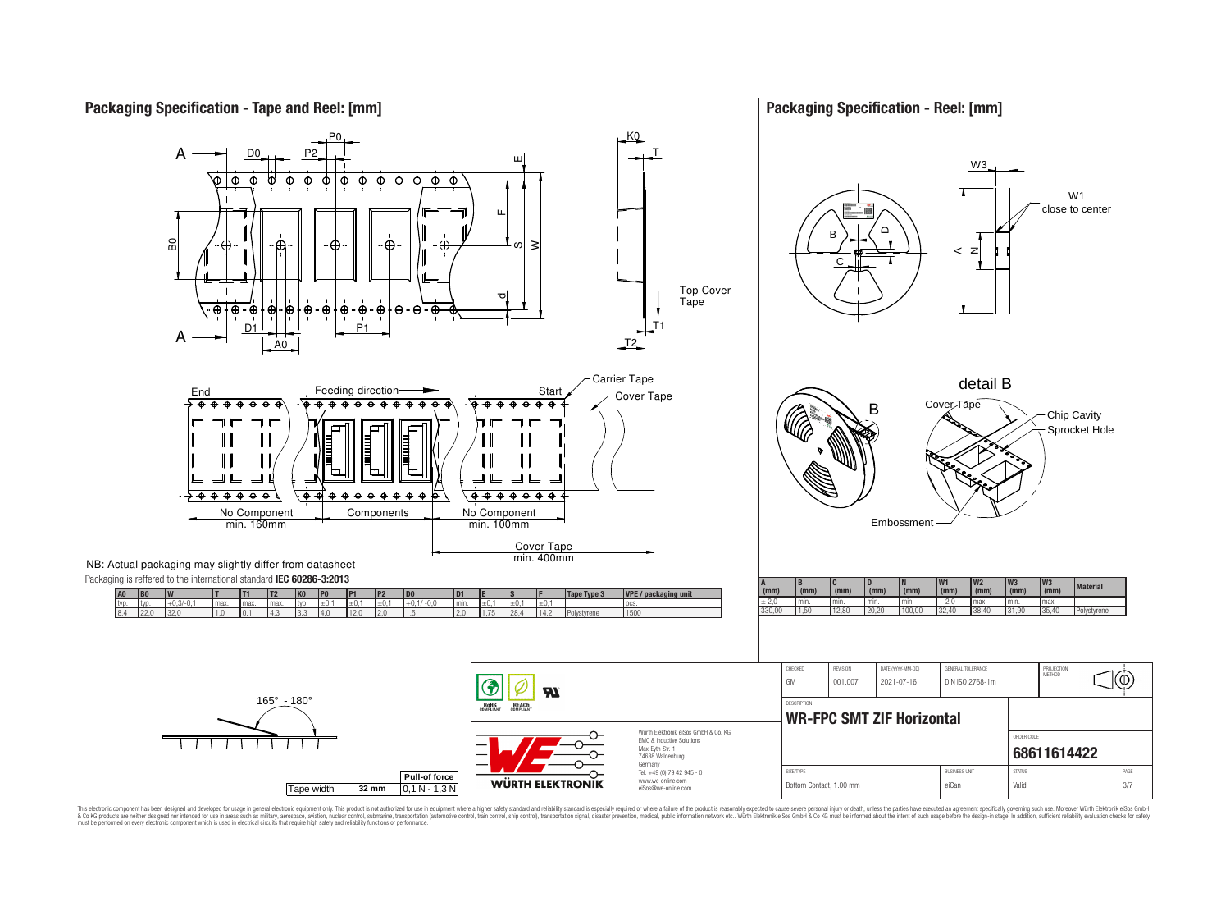## **Packaging Specification - Tape and Reel: [mm]**

### **Packaging Specification - Reel: [mm]**



This electronic component has been designed and developed for usage in general electronic equipment only. This product is not authorized for use in equipment where a higher safely standard and reliability standard si espec & Ook product a label and the membed of the seasuch as marked and as which such a membed and the such assume that income in the seasuch and the simulation and the such assume that include to the such a membed and the such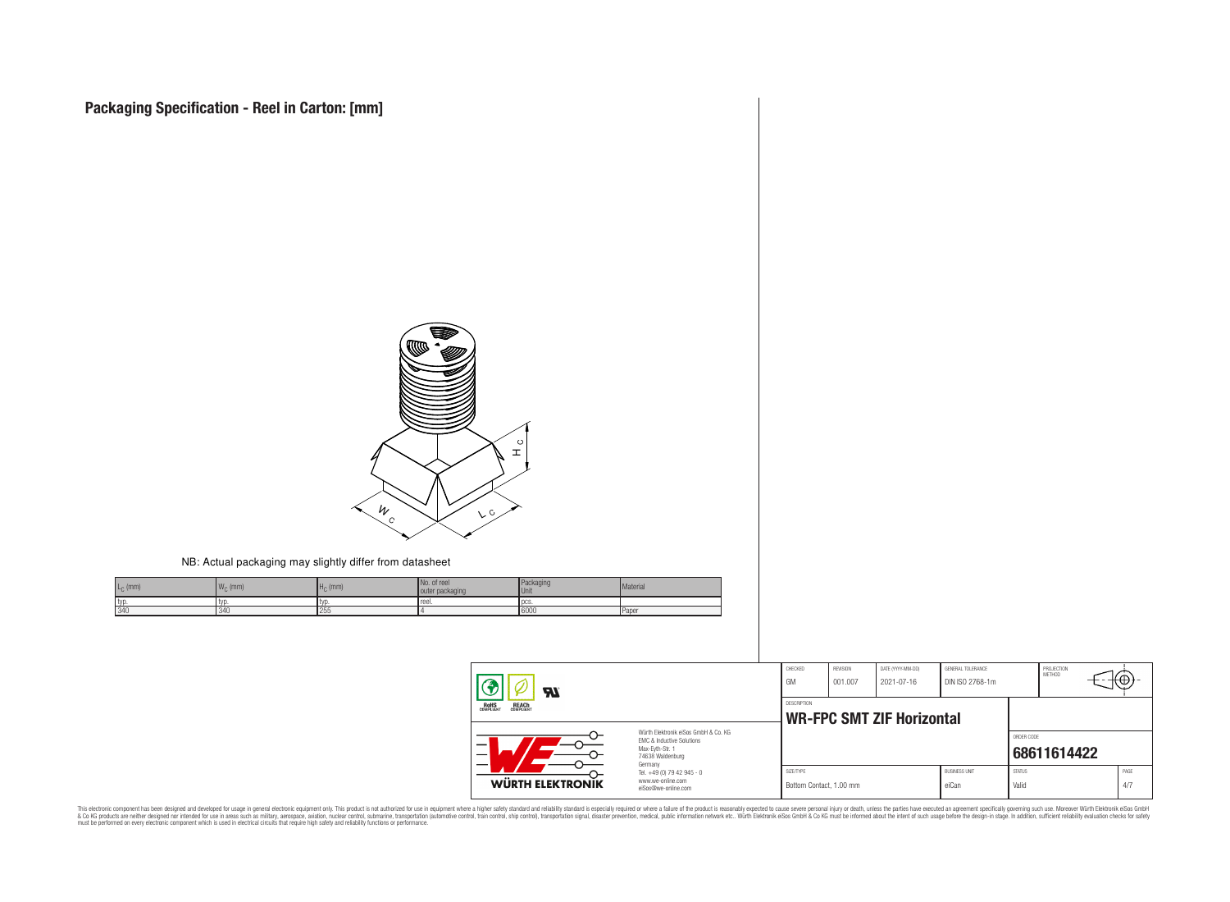

NB: Actual packaging may slightly differ from datasheet

| $L_{C}$ (mm) | $-111$<br>$W_{\cap}$ (mm) | (mm) | No. of reel<br>outer packaging | Packaging<br><b>Unit</b> | Material |
|--------------|---------------------------|------|--------------------------------|--------------------------|----------|
| typ          | typ                       |      | reel.                          | <b>I</b> pcs             |          |
| 340          | $, 2 + 1$                 | 255  |                                | 6000                     | Paper    |

| Яī<br><b>ROHS</b><br>COMPLIANT<br><b>REACH</b><br>COMPLIANT<br>Würth Flektronik eiSos GmbH & Co. KG<br>EMC & Inductive Solutions<br>-<br>Max-Eyth-Str. 1<br>$\overline{\phantom{0}}$<br>74638 Waldenburg<br>Germany |                                                                        | CHECKED<br>GM                                          | <b>REVISION</b><br>001.007 | DATE (YYYY-MM-DD)<br>2021-07-16 | GENERAL TOLERANCE<br>DIN ISO 2768-1m |                        | PROJECTION<br>METHOD | ₩.          |
|---------------------------------------------------------------------------------------------------------------------------------------------------------------------------------------------------------------------|------------------------------------------------------------------------|--------------------------------------------------------|----------------------------|---------------------------------|--------------------------------------|------------------------|----------------------|-------------|
|                                                                                                                                                                                                                     |                                                                        | <b>DESCRIPTION</b><br><b>WR-FPC SMT ZIF Horizontal</b> |                            |                                 |                                      |                        |                      |             |
|                                                                                                                                                                                                                     |                                                                        |                                                        |                            |                                 |                                      | ORDER CODE             | 68611614422          |             |
| WÜRTH ELEKTRONIK                                                                                                                                                                                                    | Tel. +49 (0) 79 42 945 - 0<br>www.we-online.com<br>eiSos@we-online.com | SIZE/TYPE<br>Bottom Contact, 1.00 mm                   |                            |                                 | <b>BUSINESS UNIT</b><br>eiCan        | <b>STATUS</b><br>Valid |                      | PAGE<br>4/7 |

This electronic component has been designed and developed for usage in general electronic equipment only. This product is not authorized for subserved requipment where a higher selection equipment where a higher selection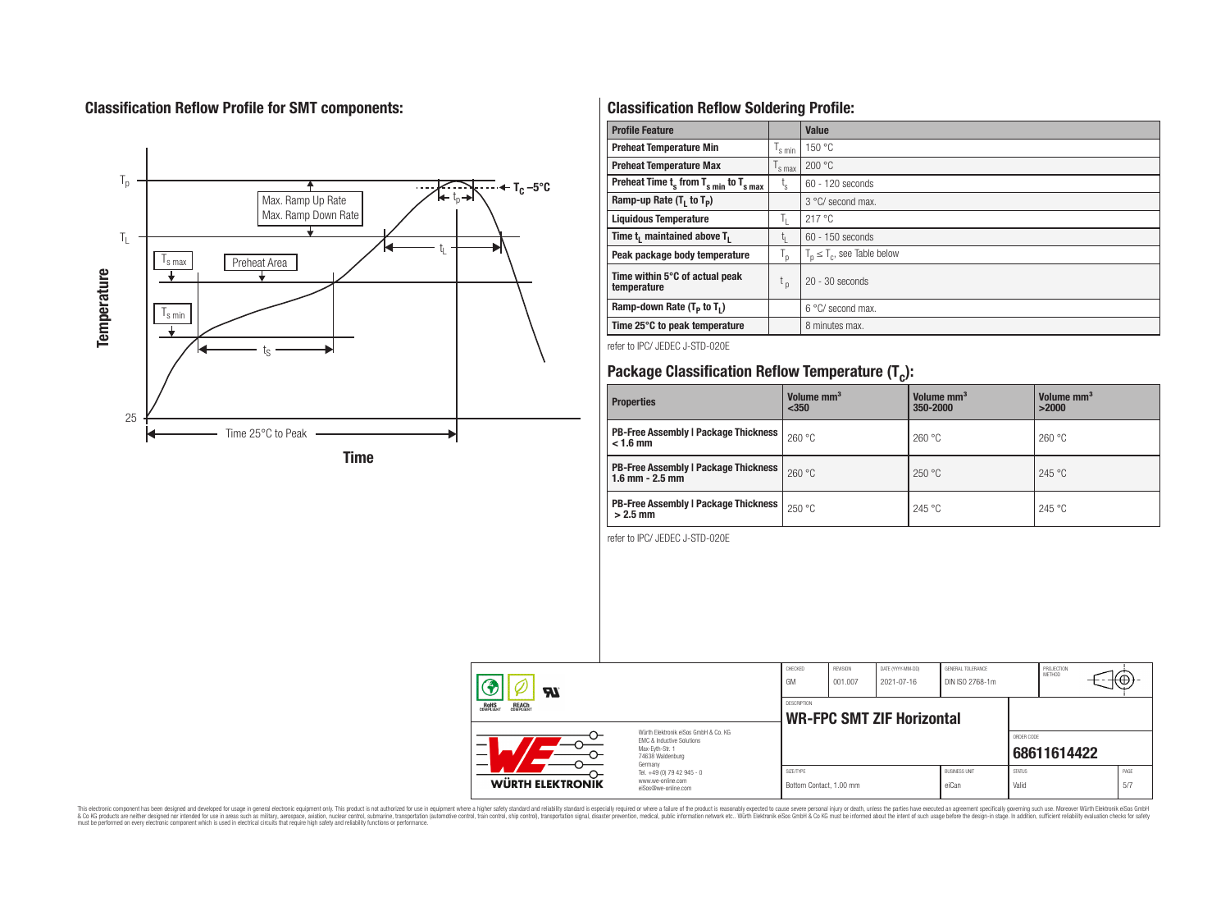## **Classification Reflow Profile for SMT components:**



## **Classification Reflow Soldering Profile:**

| <b>Profile Feature</b>                              |                               | Value                            |
|-----------------------------------------------------|-------------------------------|----------------------------------|
| <b>Preheat Temperature Min</b>                      | 's min                        | 150 °C                           |
| <b>Preheat Temperature Max</b>                      | $\frac{1}{s}$ max             | 200 °C                           |
| Preheat Time $t_s$ from $T_{s,min}$ to $T_{s,max}$  | t,                            | 60 - 120 seconds                 |
| Ramp-up Rate $(T_1$ to $T_p$ )                      |                               | 3 °C/ second max.                |
| <b>Liquidous Temperature</b>                        | ъ.                            | 217 °C                           |
| Time t <sub>i</sub> maintained above T <sub>1</sub> | t,                            | $60 - 150$ seconds               |
| Peak package body temperature                       | T <sub>o</sub>                | $T_p \leq T_c$ , see Table below |
| Time within 5°C of actual peak<br>temperature       | $\mathfrak{c}_{\mathfrak{p}}$ | $20 - 30$ seconds                |
| Ramp-down Rate $(T_p$ to $T_1$ )                    |                               | $6^{\circ}$ C/ second max.       |
| Time 25°C to peak temperature                       |                               | 8 minutes max.                   |

refer to IPC/ JEDEC J-STD-020E

# **Package Classification Reflow Temperature (T<sup>c</sup> ):**

| <b>Properties</b>                                                    | Volume mm <sup>3</sup><br>$350$ | Volume mm <sup>3</sup><br>350-2000 | Volume mm <sup>3</sup><br>>2000 |
|----------------------------------------------------------------------|---------------------------------|------------------------------------|---------------------------------|
| <b>PB-Free Assembly   Package Thickness  </b><br>$< 1.6$ mm          | 260 °C                          | 260 °C                             | 260 °C                          |
| <b>PB-Free Assembly   Package Thickness  </b><br>$1.6$ mm $- 2.5$ mm | 260 °C                          | 250 °C                             | 245 °C                          |
| <b>PB-Free Assembly   Package Thickness  </b><br>$>2.5$ mm           | 250 °C                          | 245 °C                             | 245 °C                          |

refer to IPC/ JEDEC J-STD-020E

| Яľ                                             |                                                                                                                                | CHECKED<br>GM | <b>REVISION</b><br>001.007 | DATE (YYYY-MM-DD)<br>2021-07-16  | GENERAL TOLERANCE<br>DIN ISO 2768-1m |               | PROJECTION<br><b>METHOD</b> |      |
|------------------------------------------------|--------------------------------------------------------------------------------------------------------------------------------|---------------|----------------------------|----------------------------------|--------------------------------------|---------------|-----------------------------|------|
| ROHS<br>COMPLIANT<br><b>REACH</b><br>COMPLIANT |                                                                                                                                | DESCRIPTION   |                            | <b>WR-FPC SMT ZIF Horizontal</b> |                                      |               |                             |      |
| -                                              | Würth Flektronik eiSos GmbH & Co. KG<br><b>EMC &amp; Inductive Solutions</b><br>Max-Evth-Str. 1<br>74638 Waldenburg<br>Germany |               |                            |                                  |                                      | ORDER CODE    | 68611614422                 |      |
|                                                | Tel. +49 (0) 79 42 945 - 0                                                                                                     | SIZE/TYPE     |                            |                                  | <b>BUSINESS UNIT</b>                 | <b>STATUS</b> |                             | PAGE |

This electronic component has been designed and developed for usage in general electronic equipment only. This product is not authorized for subserved requipment where a higher selection equipment where a higher selection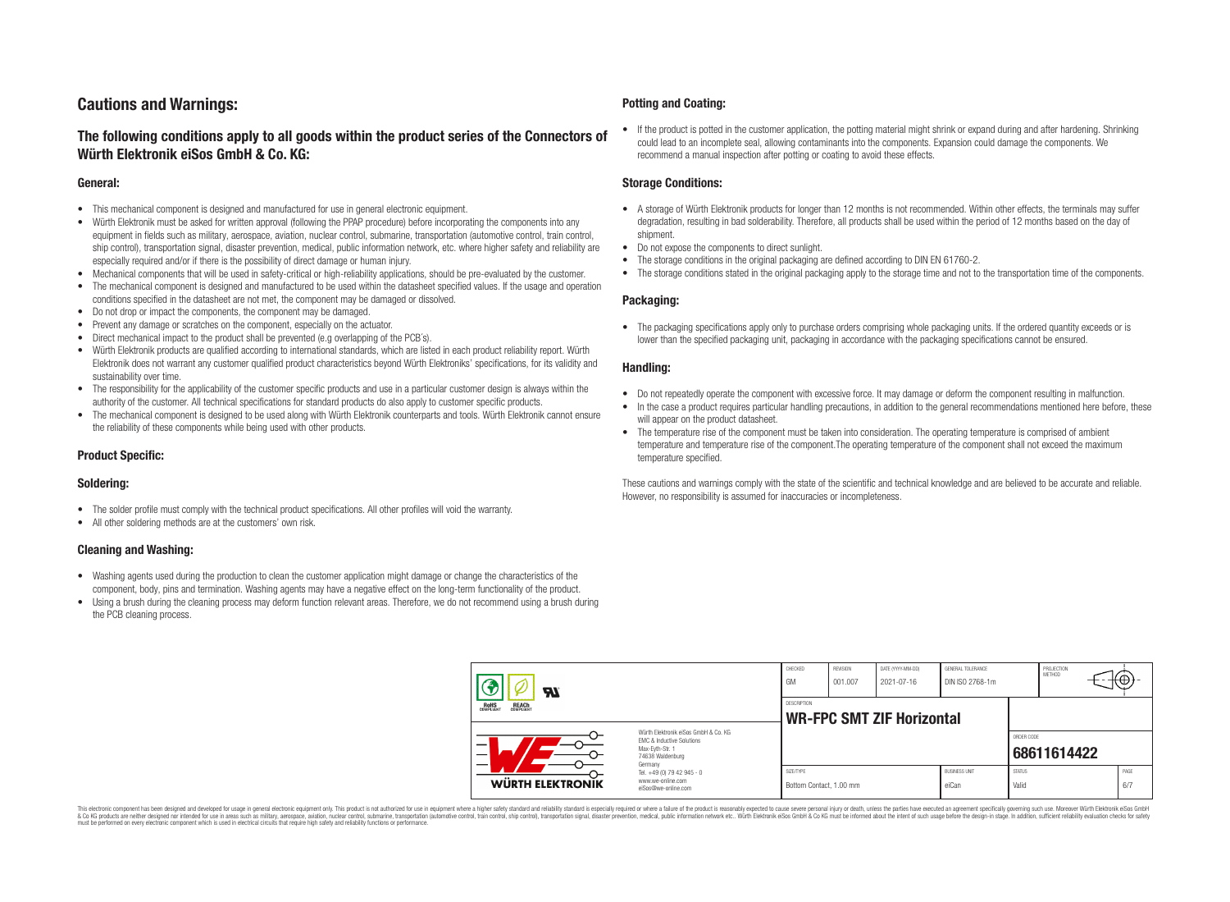## **Cautions and Warnings:**

### **The following conditions apply to all goods within the product series of the Connectors of Würth Elektronik eiSos GmbH & Co. KG:**

#### **General:**

- This mechanical component is designed and manufactured for use in general electronic equipment.
- Würth Elektronik must be asked for written approval (following the PPAP procedure) before incorporating the components into any equipment in fields such as military, aerospace, aviation, nuclear control, submarine, transportation (automotive control, train control, ship control), transportation signal, disaster prevention, medical, public information network, etc. where higher safety and reliability are especially required and/or if there is the possibility of direct damage or human injury.
- Mechanical components that will be used in safety-critical or high-reliability applications, should be pre-evaluated by the customer.
- The mechanical component is designed and manufactured to be used within the datasheet specified values. If the usage and operation conditions specified in the datasheet are not met, the component may be damaged or dissolved.
- Do not drop or impact the components, the component may be damaged.
- Prevent any damage or scratches on the component, especially on the actuator.
- Direct mechanical impact to the product shall be prevented (e.g overlapping of the PCB's).
- Würth Elektronik products are qualified according to international standards, which are listed in each product reliability report. Würth Elektronik does not warrant any customer qualified product characteristics beyond Würth Elektroniks' specifications, for its validity and sustainability over time.
- The responsibility for the applicability of the customer specific products and use in a particular customer design is always within the authority of the customer. All technical specifications for standard products do also apply to customer specific products.
- The mechanical component is designed to be used along with Würth Elektronik counterparts and tools. Würth Elektronik cannot ensure the reliability of these components while being used with other products.

#### **Product Specific:**

#### **Soldering:**

- The solder profile must comply with the technical product specifications. All other profiles will void the warranty.
- All other soldering methods are at the customers' own risk.

#### **Cleaning and Washing:**

- Washing agents used during the production to clean the customer application might damage or change the characteristics of the component, body, pins and termination. Washing agents may have a negative effect on the long-term functionality of the product.
- Using a brush during the cleaning process may deform function relevant areas. Therefore, we do not recommend using a brush during the PCB cleaning process.

#### **Potting and Coating:**

• If the product is potted in the customer application, the potting material might shrink or expand during and after hardening. Shrinking could lead to an incomplete seal, allowing contaminants into the components. Expansion could damage the components. We recommend a manual inspection after potting or coating to avoid these effects.

#### **Storage Conditions:**

- A storage of Würth Elektronik products for longer than 12 months is not recommended. Within other effects, the terminals may suffer degradation, resulting in bad solderability. Therefore, all products shall be used within the period of 12 months based on the day of shipment.
- Do not expose the components to direct sunlight.
- The storage conditions in the original packaging are defined according to DIN EN 61760-2.
- The storage conditions stated in the original packaging apply to the storage time and not to the transportation time of the components.

#### **Packaging:**

• The packaging specifications apply only to purchase orders comprising whole packaging units. If the ordered quantity exceeds or is lower than the specified packaging unit, packaging in accordance with the packaging specifications cannot be ensured.

#### **Handling:**

- Do not repeatedly operate the component with excessive force. It may damage or deform the component resulting in malfunction.
- In the case a product requires particular handling precautions, in addition to the general recommendations mentioned here before, these will appear on the product datasheet
- The temperature rise of the component must be taken into consideration. The operating temperature is comprised of ambient temperature and temperature rise of the component.The operating temperature of the component shall not exceed the maximum temperature specified.

These cautions and warnings comply with the state of the scientific and technical knowledge and are believed to be accurate and reliable. However, no responsibility is assumed for inaccuracies or incompleteness.

| $\boldsymbol{\mathcal{H}}$                                                                                                                                                            |                                                                        | CHECKED<br>GM                                          | <b>REVISION</b><br>001.007 | DATE (YYYY-MM-DD)<br>2021-07-16 | GENERAL TOLERANCE<br>DIN ISO 2768-1m |                           | PROJECTION<br><b>METHOD</b> |  | ι€Ψ∶        |
|---------------------------------------------------------------------------------------------------------------------------------------------------------------------------------------|------------------------------------------------------------------------|--------------------------------------------------------|----------------------------|---------------------------------|--------------------------------------|---------------------------|-----------------------------|--|-------------|
| ROHS<br>COMPLIANT<br><b>REACH</b><br>COMPLIANT<br>Würth Elektronik eiSos GmbH & Co. KG<br><b>EMC &amp; Inductive Solutions</b><br>–<br>Max-Evth-Str. 1<br>74638 Waldenburg<br>Germany |                                                                        | <b>DESCRIPTION</b><br><b>WR-FPC SMT ZIF Horizontal</b> |                            |                                 |                                      |                           |                             |  |             |
|                                                                                                                                                                                       |                                                                        |                                                        |                            |                                 |                                      | ORDER CODE<br>68611614422 |                             |  |             |
| WÜRTH ELEKTRONIK                                                                                                                                                                      | Tel. +49 (0) 79 42 945 - 0<br>www.we-online.com<br>eiSos@we-online.com | SIZE/TYPE<br>Bottom Contact, 1.00 mm                   |                            |                                 | <b>BUSINESS UNIT</b><br>eiCan        | <b>STATUS</b><br>Valid    |                             |  | PAGE<br>6/7 |

This electronic component has been designed and developed for usage in general electronic equipment only. This product is not authorized for use in equipment where a higher safety standard and reliability standard si espec & Ook product a label and the membed of the seasuch as marked and as which such a membed and the such assume that income in the seasuch and the simulation and the such assume that include to the such a membed and the such